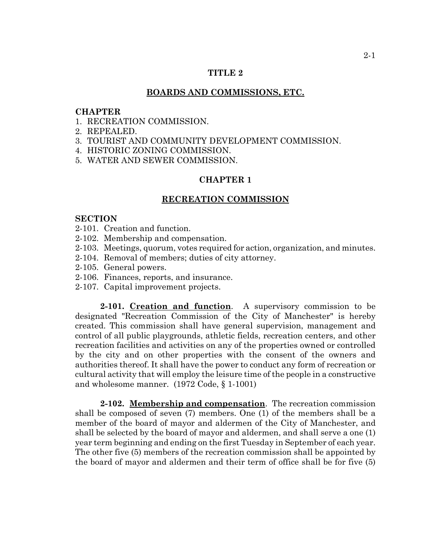## **TITLE 2**

#### **BOARDS AND COMMISSIONS, ETC.**

#### **CHAPTER**

- 1. RECREATION COMMISSION.
- 2. REPEALED.
- 3. TOURIST AND COMMUNITY DEVELOPMENT COMMISSION.
- 4. HISTORIC ZONING COMMISSION.
- 5. WATER AND SEWER COMMISSION.

## **CHAPTER 1**

## **RECREATION COMMISSION**

#### **SECTION**

- 2-101. Creation and function.
- 2-102. Membership and compensation.
- 2-103. Meetings, quorum, votes required for action, organization, and minutes.
- 2-104. Removal of members; duties of city attorney.
- 2-105. General powers.
- 2-106. Finances, reports, and insurance.
- 2-107. Capital improvement projects.

**2-101. Creation and function**. A supervisory commission to be designated "Recreation Commission of the City of Manchester" is hereby created. This commission shall have general supervision, management and control of all public playgrounds, athletic fields, recreation centers, and other recreation facilities and activities on any of the properties owned or controlled by the city and on other properties with the consent of the owners and authorities thereof. It shall have the power to conduct any form of recreation or cultural activity that will employ the leisure time of the people in a constructive and wholesome manner. (1972 Code, § 1-1001)

**2-102. Membership and compensation**. The recreation commission shall be composed of seven (7) members. One (1) of the members shall be a member of the board of mayor and aldermen of the City of Manchester, and shall be selected by the board of mayor and aldermen, and shall serve a one (1) year term beginning and ending on the first Tuesday in September of each year. The other five (5) members of the recreation commission shall be appointed by the board of mayor and aldermen and their term of office shall be for five (5)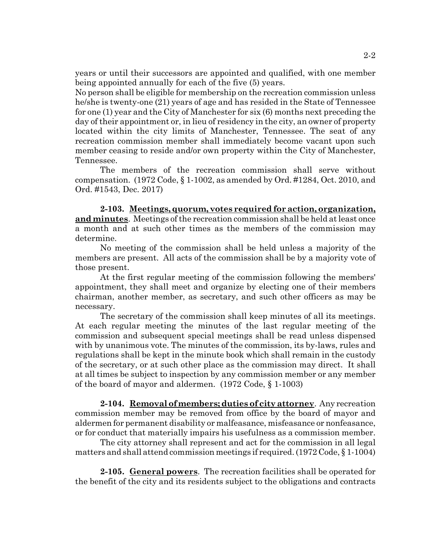years or until their successors are appointed and qualified, with one member being appointed annually for each of the five (5) years.

No person shall be eligible for membership on the recreation commission unless he/she is twenty-one (21) years of age and has resided in the State of Tennessee for one (1) year and the City of Manchester for six (6) months next preceding the day of their appointment or, in lieu of residency in the city, an owner of property located within the city limits of Manchester, Tennessee. The seat of any recreation commission member shall immediately become vacant upon such member ceasing to reside and/or own property within the City of Manchester, Tennessee.

The members of the recreation commission shall serve without compensation. (1972 Code, § 1-1002, as amended by Ord. #1284, Oct. 2010, and Ord. #1543, Dec. 2017)

**2-103. Meetings, quorum, votes required for action, organization, and minutes**. Meetings of the recreation commission shall be held at least once a month and at such other times as the members of the commission may determine.

No meeting of the commission shall be held unless a majority of the members are present. All acts of the commission shall be by a majority vote of those present.

At the first regular meeting of the commission following the members' appointment, they shall meet and organize by electing one of their members chairman, another member, as secretary, and such other officers as may be necessary.

The secretary of the commission shall keep minutes of all its meetings. At each regular meeting the minutes of the last regular meeting of the commission and subsequent special meetings shall be read unless dispensed with by unanimous vote. The minutes of the commission, its by-laws, rules and regulations shall be kept in the minute book which shall remain in the custody of the secretary, or at such other place as the commission may direct. It shall at all times be subject to inspection by any commission member or any member of the board of mayor and aldermen. (1972 Code, § 1-1003)

**2-104. Removal of members; duties of city attorney**. Any recreation commission member may be removed from office by the board of mayor and aldermen for permanent disability or malfeasance, misfeasance or nonfeasance, or for conduct that materially impairs his usefulness as a commission member.

The city attorney shall represent and act for the commission in all legal matters and shall attend commission meetings if required. (1972 Code, § 1-1004)

**2-105. General powers**. The recreation facilities shall be operated for the benefit of the city and its residents subject to the obligations and contracts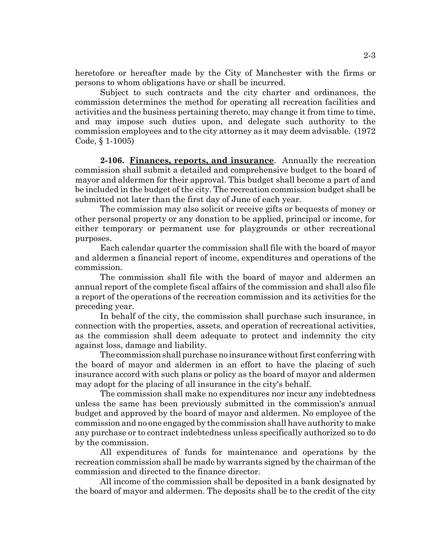heretofore or hereafter made by the City of Manchester with the firms or persons to whom obligations have or shall be incurred.

Subject to such contracts and the city charter and ordinances, the commission determines the method for operating all recreation facilities and activities and the business pertaining thereto, may change it from time to time, and may impose such duties upon, and delegate such authority to the commission employees and to the city attorney as it may deem advisable. (1972 Code, § 1-1005)

**2-106. Finances, reports, and insurance**. Annually the recreation commission shall submit a detailed and comprehensive budget to the board of mayor and aldermen for their approval. This budget shall become a part of and be included in the budget of the city. The recreation commission budget shall be submitted not later than the first day of June of each year.

The commission may also solicit or receive gifts or bequests of money or other personal property or any donation to be applied, principal or income, for either temporary or permanent use for playgrounds or other recreational purposes.

Each calendar quarter the commission shall file with the board of mayor and aldermen a financial report of income, expenditures and operations of the commission.

The commission shall file with the board of mayor and aldermen an annual report of the complete fiscal affairs of the commission and shall also file a report of the operations of the recreation commission and its activities for the preceding year.

In behalf of the city, the commission shall purchase such insurance, in connection with the properties, assets, and operation of recreational activities, as the commission shall deem adequate to protect and indemnity the city against loss, damage and liability.

The commission shall purchase no insurance without first conferring with the board of mayor and aldermen in an effort to have the placing of such insurance accord with such plans or policy as the board of mayor and aldermen may adopt for the placing of all insurance in the city's behalf.

The commission shall make no expenditures nor incur any indebtedness unless the same has been previously submitted in the commission's annual budget and approved by the board of mayor and aldermen. No employee of the commission and no one engaged by the commission shall have authority to make any purchase or to contract indebtedness unless specifically authorized so to do by the commission.

All expenditures of funds for maintenance and operations by the recreation commission shall be made by warrants signed by the chairman of the commission and directed to the finance director.

All income of the commission shall be deposited in a bank designated by the board of mayor and aldermen. The deposits shall be to the credit of the city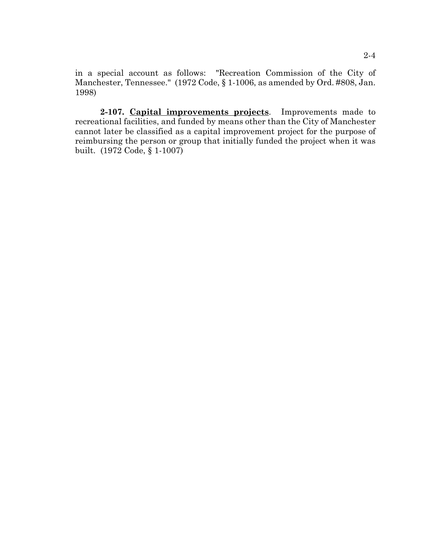in a special account as follows: "Recreation Commission of the City of Manchester, Tennessee." (1972 Code, § 1-1006, as amended by Ord. #808, Jan. 1998)

**2-107. Capital improvements projects**. Improvements made to recreational facilities, and funded by means other than the City of Manchester cannot later be classified as a capital improvement project for the purpose of reimbursing the person or group that initially funded the project when it was built. (1972 Code, § 1-1007)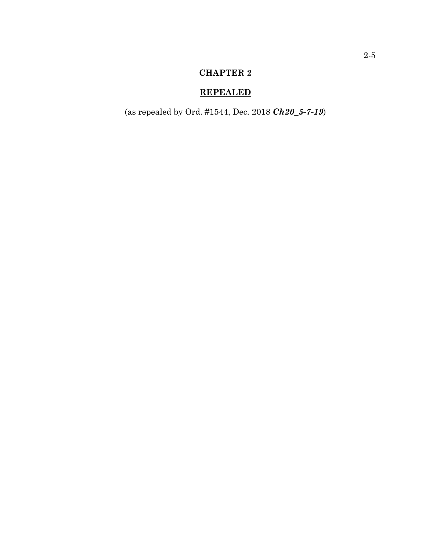# **REPEALED**

(as repealed by Ord. #1544, Dec. 2018 *Ch20\_5-7-19*)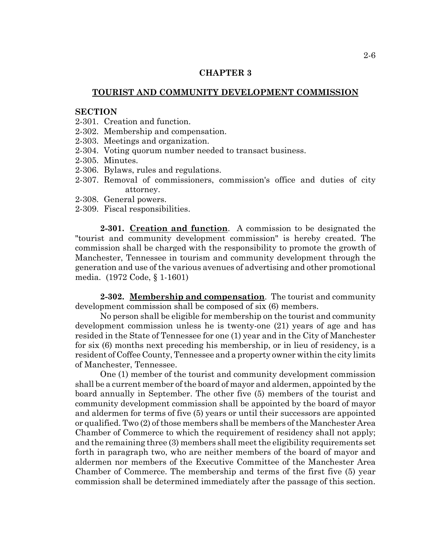## **TOURIST AND COMMUNITY DEVELOPMENT COMMISSION**

## **SECTION**

- 2-301. Creation and function.
- 2-302. Membership and compensation.
- 2-303. Meetings and organization.
- 2-304. Voting quorum number needed to transact business.
- 2-305. Minutes.
- 2-306. Bylaws, rules and regulations.
- 2-307. Removal of commissioners, commission's office and duties of city attorney.
- 2-308. General powers.
- 2-309. Fiscal responsibilities.

**2-301. Creation and function**. A commission to be designated the "tourist and community development commission" is hereby created. The commission shall be charged with the responsibility to promote the growth of Manchester, Tennessee in tourism and community development through the generation and use of the various avenues of advertising and other promotional media. (1972 Code, § 1-1601)

**2-302. Membership and compensation**. The tourist and community development commission shall be composed of six (6) members.

No person shall be eligible for membership on the tourist and community development commission unless he is twenty-one (21) years of age and has resided in the State of Tennessee for one (1) year and in the City of Manchester for six (6) months next preceding his membership, or in lieu of residency, is a resident of Coffee County, Tennessee and a property owner within the city limits of Manchester, Tennessee.

One (1) member of the tourist and community development commission shall be a current member of the board of mayor and aldermen, appointed by the board annually in September. The other five (5) members of the tourist and community development commission shall be appointed by the board of mayor and aldermen for terms of five (5) years or until their successors are appointed or qualified. Two (2) of those members shall be members of the Manchester Area Chamber of Commerce to which the requirement of residency shall not apply; and the remaining three (3) members shall meet the eligibility requirements set forth in paragraph two, who are neither members of the board of mayor and aldermen nor members of the Executive Committee of the Manchester Area Chamber of Commerce. The membership and terms of the first five (5) year commission shall be determined immediately after the passage of this section.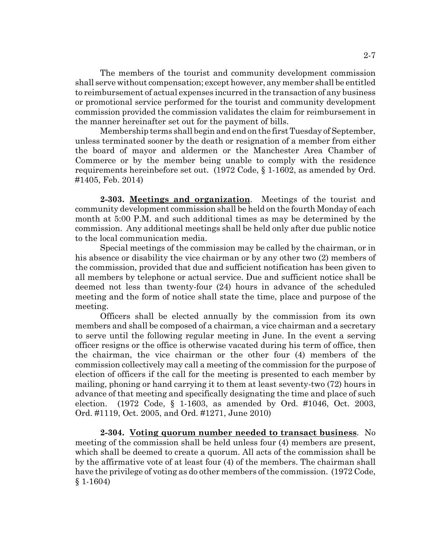The members of the tourist and community development commission shall serve without compensation; except however, any member shall be entitled to reimbursement of actual expenses incurred in the transaction of any business or promotional service performed for the tourist and community development commission provided the commission validates the claim for reimbursement in the manner hereinafter set out for the payment of bills.

Membership terms shall begin and end on the first Tuesday of September, unless terminated sooner by the death or resignation of a member from either the board of mayor and aldermen or the Manchester Area Chamber of Commerce or by the member being unable to comply with the residence requirements hereinbefore set out. (1972 Code, § 1-1602, as amended by Ord. #1405, Feb. 2014)

**2-303. Meetings and organization**. Meetings of the tourist and community development commission shall be held on the fourth Monday of each month at 5:00 P.M. and such additional times as may be determined by the commission. Any additional meetings shall be held only after due public notice to the local communication media.

Special meetings of the commission may be called by the chairman, or in his absence or disability the vice chairman or by any other two (2) members of the commission, provided that due and sufficient notification has been given to all members by telephone or actual service. Due and sufficient notice shall be deemed not less than twenty-four (24) hours in advance of the scheduled meeting and the form of notice shall state the time, place and purpose of the meeting.

Officers shall be elected annually by the commission from its own members and shall be composed of a chairman, a vice chairman and a secretary to serve until the following regular meeting in June. In the event a serving officer resigns or the office is otherwise vacated during his term of office, then the chairman, the vice chairman or the other four (4) members of the commission collectively may call a meeting of the commission for the purpose of election of officers if the call for the meeting is presented to each member by mailing, phoning or hand carrying it to them at least seventy-two (72) hours in advance of that meeting and specifically designating the time and place of such election. (1972 Code, § 1-1603, as amended by Ord. #1046, Oct. 2003, Ord. #1119, Oct. 2005, and Ord. #1271, June 2010)

**2-304. Voting quorum number needed to transact business**. No meeting of the commission shall be held unless four (4) members are present, which shall be deemed to create a quorum. All acts of the commission shall be by the affirmative vote of at least four (4) of the members. The chairman shall have the privilege of voting as do other members of the commission. (1972 Code, § 1-1604)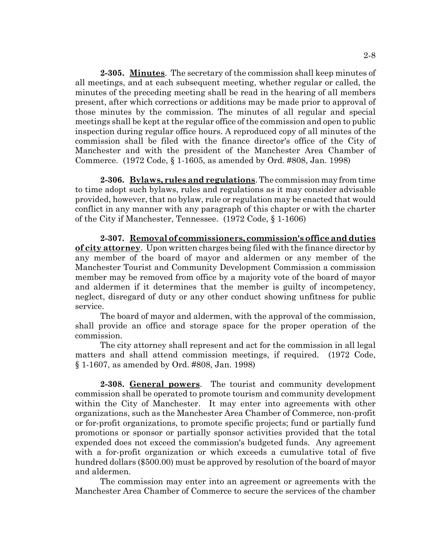**2-305. Minutes**. The secretary of the commission shall keep minutes of all meetings, and at each subsequent meeting, whether regular or called, the minutes of the preceding meeting shall be read in the hearing of all members present, after which corrections or additions may be made prior to approval of those minutes by the commission. The minutes of all regular and special meetings shall be kept at the regular office of the commission and open to public inspection during regular office hours. A reproduced copy of all minutes of the commission shall be filed with the finance director's office of the City of Manchester and with the president of the Manchester Area Chamber of Commerce. (1972 Code, § 1-1605, as amended by Ord. #808, Jan. 1998)

**2-306. Bylaws, rules and regulations**. The commission may from time to time adopt such bylaws, rules and regulations as it may consider advisable provided, however, that no bylaw, rule or regulation may be enacted that would conflict in any manner with any paragraph of this chapter or with the charter of the City if Manchester, Tennessee. (1972 Code, § 1-1606)

**2-307. Removal of commissioners, commission's office and duties of city attorney**. Upon written charges being filed with the finance director by any member of the board of mayor and aldermen or any member of the Manchester Tourist and Community Development Commission a commission member may be removed from office by a majority vote of the board of mayor and aldermen if it determines that the member is guilty of incompetency, neglect, disregard of duty or any other conduct showing unfitness for public service.

The board of mayor and aldermen, with the approval of the commission, shall provide an office and storage space for the proper operation of the commission.

The city attorney shall represent and act for the commission in all legal matters and shall attend commission meetings, if required. (1972 Code, § 1-1607, as amended by Ord. #808, Jan. 1998)

**2-308. General powers**. The tourist and community development commission shall be operated to promote tourism and community development within the City of Manchester. It may enter into agreements with other organizations, such as the Manchester Area Chamber of Commerce, non-profit or for-profit organizations, to promote specific projects; fund or partially fund promotions or sponsor or partially sponsor activities provided that the total expended does not exceed the commission's budgeted funds. Any agreement with a for-profit organization or which exceeds a cumulative total of five hundred dollars (\$500.00) must be approved by resolution of the board of mayor and aldermen.

The commission may enter into an agreement or agreements with the Manchester Area Chamber of Commerce to secure the services of the chamber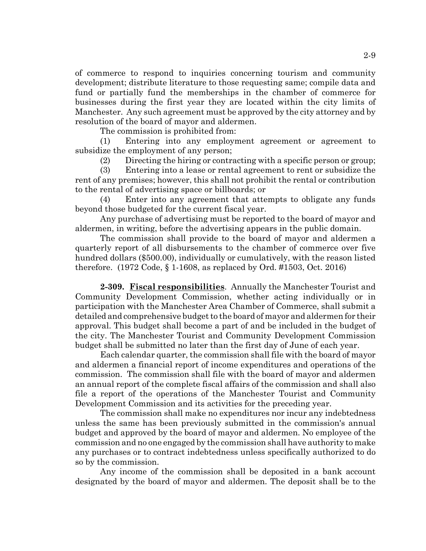of commerce to respond to inquiries concerning tourism and community development; distribute literature to those requesting same; compile data and fund or partially fund the memberships in the chamber of commerce for businesses during the first year they are located within the city limits of Manchester. Any such agreement must be approved by the city attorney and by resolution of the board of mayor and aldermen.

The commission is prohibited from:

(1) Entering into any employment agreement or agreement to subsidize the employment of any person;

(2) Directing the hiring or contracting with a specific person or group;

(3) Entering into a lease or rental agreement to rent or subsidize the rent of any premises; however, this shall not prohibit the rental or contribution to the rental of advertising space or billboards; or

(4) Enter into any agreement that attempts to obligate any funds beyond those budgeted for the current fiscal year.

Any purchase of advertising must be reported to the board of mayor and aldermen, in writing, before the advertising appears in the public domain.

The commission shall provide to the board of mayor and aldermen a quarterly report of all disbursements to the chamber of commerce over five hundred dollars (\$500.00), individually or cumulatively, with the reason listed therefore. (1972 Code, § 1-1608, as replaced by Ord. #1503, Oct. 2016)

**2-309. Fiscal responsibilities**. Annually the Manchester Tourist and Community Development Commission, whether acting individually or in participation with the Manchester Area Chamber of Commerce, shall submit a detailed and comprehensive budget to the board of mayor and aldermen for their approval. This budget shall become a part of and be included in the budget of the city. The Manchester Tourist and Community Development Commission budget shall be submitted no later than the first day of June of each year.

Each calendar quarter, the commission shall file with the board of mayor and aldermen a financial report of income expenditures and operations of the commission. The commission shall file with the board of mayor and aldermen an annual report of the complete fiscal affairs of the commission and shall also file a report of the operations of the Manchester Tourist and Community Development Commission and its activities for the preceding year.

The commission shall make no expenditures nor incur any indebtedness unless the same has been previously submitted in the commission's annual budget and approved by the board of mayor and aldermen. No employee of the commission and no one engaged by the commission shall have authority to make any purchases or to contract indebtedness unless specifically authorized to do so by the commission.

Any income of the commission shall be deposited in a bank account designated by the board of mayor and aldermen. The deposit shall be to the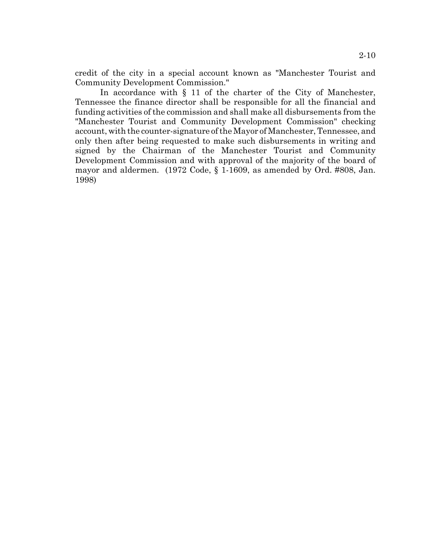credit of the city in a special account known as "Manchester Tourist and Community Development Commission."

In accordance with § 11 of the charter of the City of Manchester, Tennessee the finance director shall be responsible for all the financial and funding activities of the commission and shall make all disbursements from the "Manchester Tourist and Community Development Commission" checking account, with the counter-signature of the Mayor of Manchester, Tennessee, and only then after being requested to make such disbursements in writing and signed by the Chairman of the Manchester Tourist and Community Development Commission and with approval of the majority of the board of mayor and aldermen. (1972 Code, § 1-1609, as amended by Ord. #808, Jan. 1998)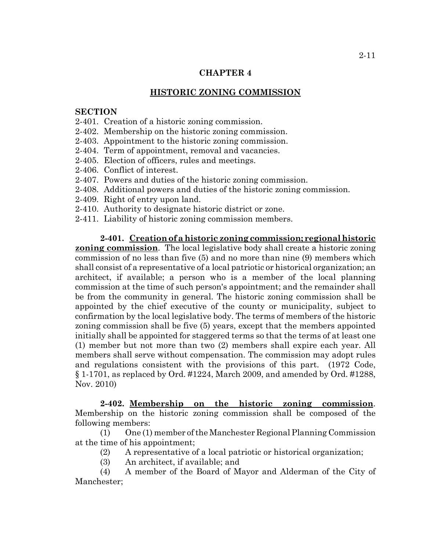## **HISTORIC ZONING COMMISSION**

# **SECTION**

- 2-401. Creation of a historic zoning commission.
- 2-402. Membership on the historic zoning commission.
- 2-403. Appointment to the historic zoning commission.
- 2-404. Term of appointment, removal and vacancies.
- 2-405. Election of officers, rules and meetings.
- 2-406. Conflict of interest.
- 2-407. Powers and duties of the historic zoning commission.
- 2-408. Additional powers and duties of the historic zoning commission.
- 2-409. Right of entry upon land.
- 2-410. Authority to designate historic district or zone.
- 2-411. Liability of historic zoning commission members.

**2-401. Creation of a historic zoning commission; regional historic zoning commission**. The local legislative body shall create a historic zoning commission of no less than five (5) and no more than nine (9) members which shall consist of a representative of a local patriotic or historical organization; an architect, if available; a person who is a member of the local planning commission at the time of such person's appointment; and the remainder shall be from the community in general. The historic zoning commission shall be appointed by the chief executive of the county or municipality, subject to confirmation by the local legislative body. The terms of members of the historic zoning commission shall be five (5) years, except that the members appointed initially shall be appointed for staggered terms so that the terms of at least one (1) member but not more than two (2) members shall expire each year. All members shall serve without compensation. The commission may adopt rules and regulations consistent with the provisions of this part. (1972 Code, § 1-1701, as replaced by Ord. #1224, March 2009, and amended by Ord. #1288, Nov. 2010)

**2-402. Membership on the historic zoning commission**. Membership on the historic zoning commission shall be composed of the following members:

(1) One (1) member of the Manchester Regional Planning Commission at the time of his appointment;

- (2) A representative of a local patriotic or historical organization;
- (3) An architect, if available; and

(4) A member of the Board of Mayor and Alderman of the City of Manchester;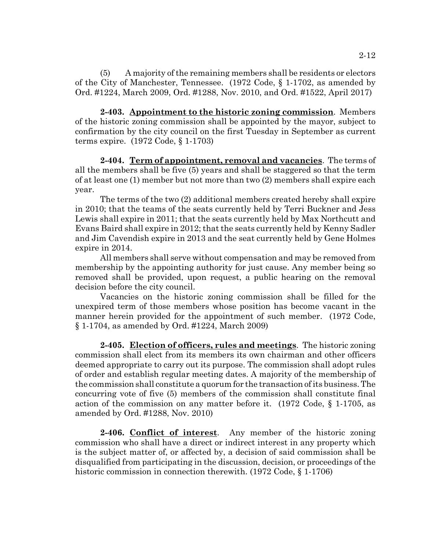(5) A majority of the remaining members shall be residents or electors of the City of Manchester, Tennessee. (1972 Code, § 1-1702, as amended by Ord. #1224, March 2009, Ord. #1288, Nov. 2010, and Ord. #1522, April 2017)

**2-403. Appointment to the historic zoning commission**. Members of the historic zoning commission shall be appointed by the mayor, subject to confirmation by the city council on the first Tuesday in September as current terms expire. (1972 Code, § 1-1703)

**2-404. Term of appointment, removal and vacancies**. The terms of all the members shall be five (5) years and shall be staggered so that the term of at least one (1) member but not more than two (2) members shall expire each year.

The terms of the two (2) additional members created hereby shall expire in 2010; that the teams of the seats currently held by Terri Buckner and Jess Lewis shall expire in 2011; that the seats currently held by Max Northcutt and Evans Baird shall expire in 2012; that the seats currently held by Kenny Sadler and Jim Cavendish expire in 2013 and the seat currently held by Gene Holmes expire in 2014.

All members shall serve without compensation and may be removed from membership by the appointing authority for just cause. Any member being so removed shall be provided, upon request, a public hearing on the removal decision before the city council.

Vacancies on the historic zoning commission shall be filled for the unexpired term of those members whose position has become vacant in the manner herein provided for the appointment of such member. (1972 Code, § 1-1704, as amended by Ord. #1224, March 2009)

**2-405. Election of officers, rules and meetings**. The historic zoning commission shall elect from its members its own chairman and other officers deemed appropriate to carry out its purpose. The commission shall adopt rules of order and establish regular meeting dates. A majority of the membership of the commission shall constitute a quorum for the transaction of its business. The concurring vote of five (5) members of the commission shall constitute final action of the commission on any matter before it. (1972 Code, § 1-1705, as amended by Ord. #1288, Nov. 2010)

**2-406. Conflict of interest**. Any member of the historic zoning commission who shall have a direct or indirect interest in any property which is the subject matter of, or affected by, a decision of said commission shall be disqualified from participating in the discussion, decision, or proceedings of the historic commission in connection therewith. (1972 Code,  $\S$  1-1706)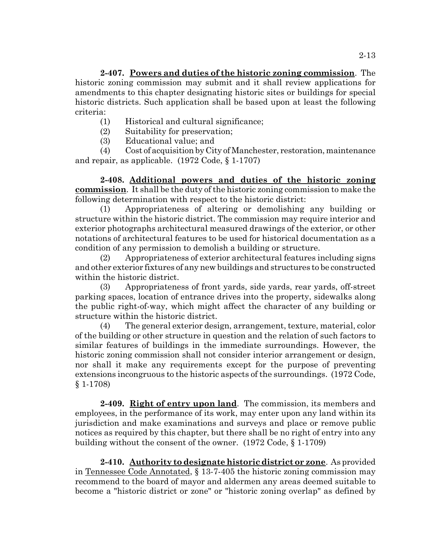**2-407. Powers and duties of the historic zoning commission**. The historic zoning commission may submit and it shall review applications for amendments to this chapter designating historic sites or buildings for special historic districts. Such application shall be based upon at least the following criteria:

- (1) Historical and cultural significance;
- (2) Suitability for preservation;
- (3) Educational value; and

(4) Cost of acquisition by City of Manchester, restoration, maintenance and repair, as applicable. (1972 Code, § 1-1707)

**2-408. Additional powers and duties of the historic zoning commission**. It shall be the duty of the historic zoning commission to make the following determination with respect to the historic district:

(1) Appropriateness of altering or demolishing any building or structure within the historic district. The commission may require interior and exterior photographs architectural measured drawings of the exterior, or other notations of architectural features to be used for historical documentation as a condition of any permission to demolish a building or structure.

(2) Appropriateness of exterior architectural features including signs and other exterior fixtures of any new buildings and structures to be constructed within the historic district.

(3) Appropriateness of front yards, side yards, rear yards, off-street parking spaces, location of entrance drives into the property, sidewalks along the public right-of-way, which might affect the character of any building or structure within the historic district.

(4) The general exterior design, arrangement, texture, material, color of the building or other structure in question and the relation of such factors to similar features of buildings in the immediate surroundings. However, the historic zoning commission shall not consider interior arrangement or design, nor shall it make any requirements except for the purpose of preventing extensions incongruous to the historic aspects of the surroundings. (1972 Code, § 1-1708)

**2-409. Right of entry upon land**. The commission, its members and employees, in the performance of its work, may enter upon any land within its jurisdiction and make examinations and surveys and place or remove public notices as required by this chapter, but there shall be no right of entry into any building without the consent of the owner. (1972 Code, § 1-1709)

**2-410. Authority to designate historic district or zone**. As provided in Tennessee Code Annotated, § 13-7-405 the historic zoning commission may recommend to the board of mayor and aldermen any areas deemed suitable to become a "historic district or zone" or "historic zoning overlap" as defined by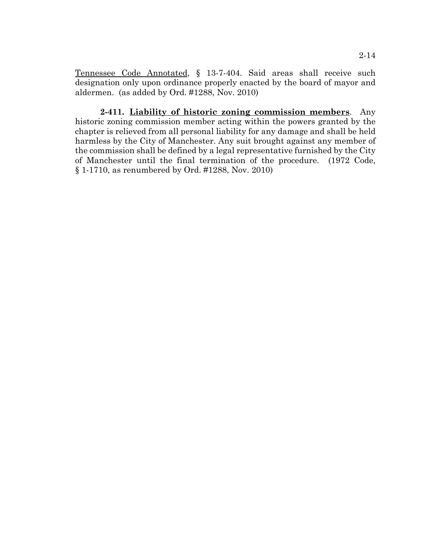Tennessee Code Annotated, § 13-7-404. Said areas shall receive such designation only upon ordinance properly enacted by the board of mayor and aldermen. (as added by Ord. #1288, Nov. 2010)

**2-411. Liability of historic zoning commission members**. Any historic zoning commission member acting within the powers granted by the chapter is relieved from all personal liability for any damage and shall be held harmless by the City of Manchester. Any suit brought against any member of the commission shall be defined by a legal representative furnished by the City of Manchester until the final termination of the procedure. (1972 Code, § 1-1710, as renumbered by Ord. #1288, Nov. 2010)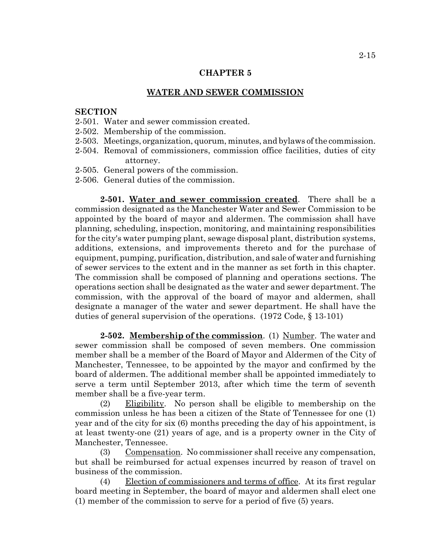#### **WATER AND SEWER COMMISSION**

# **SECTION**

- 2-501. Water and sewer commission created.
- 2-502. Membership of the commission.
- 2-503. Meetings, organization, quorum, minutes, and bylaws of the commission.
- 2-504. Removal of commissioners, commission office facilities, duties of city attorney.
- 2-505. General powers of the commission.
- 2-506. General duties of the commission.

**2-501. Water and sewer commission created**. There shall be a commission designated as the Manchester Water and Sewer Commission to be appointed by the board of mayor and aldermen. The commission shall have planning, scheduling, inspection, monitoring, and maintaining responsibilities for the city's water pumping plant, sewage disposal plant, distribution systems, additions, extensions, and improvements thereto and for the purchase of equipment, pumping, purification, distribution, and sale of water and furnishing of sewer services to the extent and in the manner as set forth in this chapter. The commission shall be composed of planning and operations sections. The operations section shall be designated as the water and sewer department. The commission, with the approval of the board of mayor and aldermen, shall designate a manager of the water and sewer department. He shall have the duties of general supervision of the operations. (1972 Code, § 13-101)

**2-502. Membership of the commission**. (1) Number. The water and sewer commission shall be composed of seven members. One commission member shall be a member of the Board of Mayor and Aldermen of the City of Manchester, Tennessee, to be appointed by the mayor and confirmed by the board of aldermen. The additional member shall be appointed immediately to serve a term until September 2013, after which time the term of seventh member shall be a five-year term.

(2) Eligibility. No person shall be eligible to membership on the commission unless he has been a citizen of the State of Tennessee for one (1) year and of the city for six (6) months preceding the day of his appointment, is at least twenty-one (21) years of age, and is a property owner in the City of Manchester, Tennessee.

(3) Compensation. No commissioner shall receive any compensation, but shall be reimbursed for actual expenses incurred by reason of travel on business of the commission.

(4) Election of commissioners and terms of office. At its first regular board meeting in September, the board of mayor and aldermen shall elect one (1) member of the commission to serve for a period of five (5) years.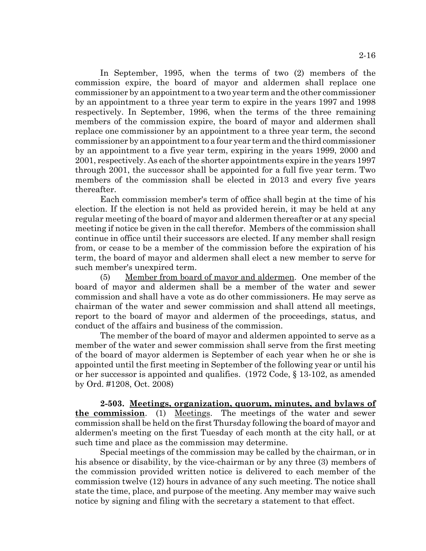In September, 1995, when the terms of two (2) members of the commission expire, the board of mayor and aldermen shall replace one commissioner by an appointment to a two year term and the other commissioner by an appointment to a three year term to expire in the years 1997 and 1998 respectively. In September, 1996, when the terms of the three remaining members of the commission expire, the board of mayor and aldermen shall replace one commissioner by an appointment to a three year term, the second commissioner by an appointment to a four year term and the third commissioner by an appointment to a five year term, expiring in the years 1999, 2000 and 2001, respectively. As each of the shorter appointments expire in the years 1997 through 2001, the successor shall be appointed for a full five year term. Two members of the commission shall be elected in 2013 and every five years thereafter.

Each commission member's term of office shall begin at the time of his election. If the election is not held as provided herein, it may be held at any regular meeting of the board of mayor and aldermen thereafter or at any special meeting if notice be given in the call therefor. Members of the commission shall continue in office until their successors are elected. If any member shall resign from, or cease to be a member of the commission before the expiration of his term, the board of mayor and aldermen shall elect a new member to serve for such member's unexpired term.

(5) Member from board of mayor and aldermen. One member of the board of mayor and aldermen shall be a member of the water and sewer commission and shall have a vote as do other commissioners. He may serve as chairman of the water and sewer commission and shall attend all meetings, report to the board of mayor and aldermen of the proceedings, status, and conduct of the affairs and business of the commission.

The member of the board of mayor and aldermen appointed to serve as a member of the water and sewer commission shall serve from the first meeting of the board of mayor aldermen is September of each year when he or she is appointed until the first meeting in September of the following year or until his or her successor is appointed and qualifies. (1972 Code, § 13-102, as amended by Ord. #1208, Oct. 2008)

**2-503. Meetings, organization, quorum, minutes, and bylaws of the commission**. (1) Meetings. The meetings of the water and sewer commission shall be held on the first Thursday following the board of mayor and aldermen's meeting on the first Tuesday of each month at the city hall, or at such time and place as the commission may determine.

Special meetings of the commission may be called by the chairman, or in his absence or disability, by the vice-chairman or by any three (3) members of the commission provided written notice is delivered to each member of the commission twelve (12) hours in advance of any such meeting. The notice shall state the time, place, and purpose of the meeting. Any member may waive such notice by signing and filing with the secretary a statement to that effect.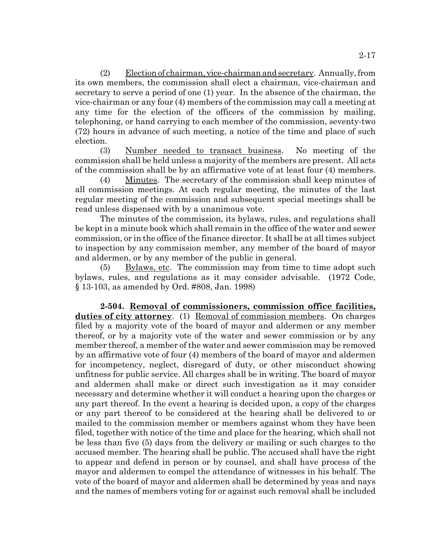(2) Election of chairman, vice-chairman and secretary. Annually, from its own members, the commission shall elect a chairman, vice-chairman and secretary to serve a period of one (1) year. In the absence of the chairman, the vice-chairman or any four (4) members of the commission may call a meeting at any time for the election of the officers of the commission by mailing, telephoning, or hand carrying to each member of the commission, seventy-two (72) hours in advance of such meeting, a notice of the time and place of such election.

(3) Number needed to transact business. No meeting of the commission shall be held unless a majority of the members are present. All acts of the commission shall be by an affirmative vote of at least four (4) members.

(4) Minutes. The secretary of the commission shall keep minutes of all commission meetings. At each regular meeting, the minutes of the last regular meeting of the commission and subsequent special meetings shall be read unless dispensed with by a unanimous vote.

The minutes of the commission, its bylaws, rules, and regulations shall be kept in a minute book which shall remain in the office of the water and sewer commission, or in the office of the finance director. It shall be at all times subject to inspection by any commission member, any member of the board of mayor and aldermen, or by any member of the public in general.

(5) Bylaws, etc. The commission may from time to time adopt such bylaws, rules, and regulations as it may consider advisable. (1972 Code, § 13-103, as amended by Ord. #808, Jan. 1998)

**2-504. Removal of commissioners, commission office facilities, duties of city attorney**. (1) Removal of commission members. On charges filed by a majority vote of the board of mayor and aldermen or any member thereof, or by a majority vote of the water and sewer commission or by any member thereof, a member of the water and sewer commission may be removed by an affirmative vote of four (4) members of the board of mayor and aldermen for incompetency, neglect, disregard of duty, or other misconduct showing unfitness for public service. All charges shall be in writing. The board of mayor and aldermen shall make or direct such investigation as it may consider necessary and determine whether it will conduct a hearing upon the charges or any part thereof. In the event a hearing is decided upon, a copy of the charges or any part thereof to be considered at the hearing shall be delivered to or mailed to the commission member or members against whom they have been filed, together with notice of the time and place for the hearing, which shall not be less than five (5) days from the delivery or mailing or such charges to the accused member. The hearing shall be public. The accused shall have the right to appear and defend in person or by counsel, and shall have process of the mayor and aldermen to compel the attendance of witnesses in his behalf. The vote of the board of mayor and aldermen shall be determined by yeas and nays and the names of members voting for or against such removal shall be included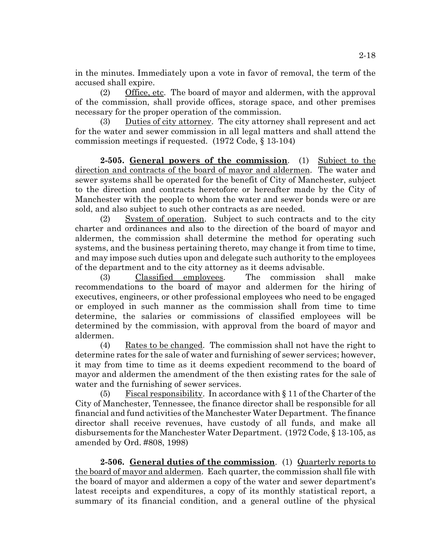in the minutes. Immediately upon a vote in favor of removal, the term of the accused shall expire.

(2) Office, etc. The board of mayor and aldermen, with the approval of the commission, shall provide offices, storage space, and other premises necessary for the proper operation of the commission.

(3) Duties of city attorney. The city attorney shall represent and act for the water and sewer commission in all legal matters and shall attend the commission meetings if requested. (1972 Code, § 13-104)

**2-505. General powers of the commission**. (1) Subject to the direction and contracts of the board of mayor and aldermen. The water and sewer systems shall be operated for the benefit of City of Manchester, subject to the direction and contracts heretofore or hereafter made by the City of Manchester with the people to whom the water and sewer bonds were or are sold, and also subject to such other contracts as are needed.

(2) System of operation. Subject to such contracts and to the city charter and ordinances and also to the direction of the board of mayor and aldermen, the commission shall determine the method for operating such systems, and the business pertaining thereto, may change it from time to time, and may impose such duties upon and delegate such authority to the employees of the department and to the city attorney as it deems advisable.

(3) Classified employees. The commission shall make recommendations to the board of mayor and aldermen for the hiring of executives, engineers, or other professional employees who need to be engaged or employed in such manner as the commission shall from time to time determine, the salaries or commissions of classified employees will be determined by the commission, with approval from the board of mayor and aldermen.

(4) Rates to be changed. The commission shall not have the right to determine rates for the sale of water and furnishing of sewer services; however, it may from time to time as it deems expedient recommend to the board of mayor and aldermen the amendment of the then existing rates for the sale of water and the furnishing of sewer services.

(5) Fiscal responsibility. In accordance with  $\S 11$  of the Charter of the City of Manchester, Tennessee, the finance director shall be responsible for all financial and fund activities of the Manchester Water Department. The finance director shall receive revenues, have custody of all funds, and make all disbursements for the Manchester Water Department. (1972 Code, § 13-105, as amended by Ord. #808, 1998)

**2-506. General duties of the commission**. (1) Quarterly reports to the board of mayor and aldermen. Each quarter, the commission shall file with the board of mayor and aldermen a copy of the water and sewer department's latest receipts and expenditures, a copy of its monthly statistical report, a summary of its financial condition, and a general outline of the physical